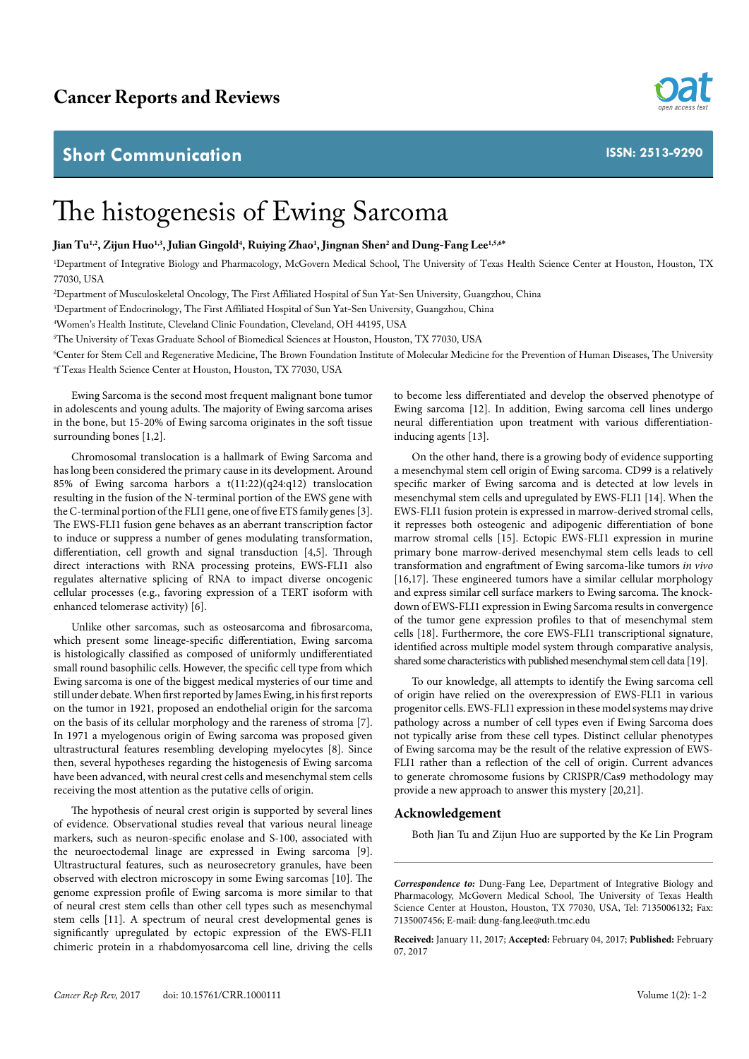## **Short Communication**



**ISSN: 2513-9290**

## The histogenesis of Ewing Sarcoma

**Jian Tu1,2, Zijun Huo1,3, Julian Gingold4 , Ruiying Zhao1 , Jingnan Shen2 and Dung-Fang Lee1,5,6\***

1 Department of Integrative Biology and Pharmacology, McGovern Medical School, The University of Texas Health Science Center at Houston, Houston, TX 77030, USA

2 Department of Musculoskeletal Oncology, The First Affiliated Hospital of Sun Yat-Sen University, Guangzhou, China

3 Department of Endocrinology, The First Affiliated Hospital of Sun Yat-Sen University, Guangzhou, China

4 Women's Health Institute, Cleveland Clinic Foundation, Cleveland, OH 44195, USA

5 The University of Texas Graduate School of Biomedical Sciences at Houston, Houston, TX 77030, USA

6 Center for Stem Cell and Regenerative Medicine, The Brown Foundation Institute of Molecular Medicine for the Prevention of Human Diseases, The University o f Texas Health Science Center at Houston, Houston, TX 77030, USA

Ewing Sarcoma is the second most frequent malignant bone tumor in adolescents and young adults. The majority of Ewing sarcoma arises in the bone, but 15-20% of Ewing sarcoma originates in the soft tissue surrounding bones [1,2].

Chromosomal translocation is a hallmark of Ewing Sarcoma and has long been considered the primary cause in its development. Around 85% of Ewing sarcoma harbors a t(11:22)(q24:q12) translocation resulting in the fusion of the N-terminal portion of the EWS gene with the C-terminal portion of the FLI1 gene, one of five ETS family genes [3]. The EWS-FLI1 fusion gene behaves as an aberrant transcription factor to induce or suppress a number of genes modulating transformation, differentiation, cell growth and signal transduction [4,5]. Through direct interactions with RNA processing proteins, EWS-FLI1 also regulates alternative splicing of RNA to impact diverse oncogenic cellular processes (e.g., favoring expression of a TERT isoform with enhanced telomerase activity) [6].

Unlike other sarcomas, such as osteosarcoma and fibrosarcoma, which present some lineage-specific differentiation, Ewing sarcoma is histologically classified as composed of uniformly undifferentiated small round basophilic cells. However, the specific cell type from which Ewing sarcoma is one of the biggest medical mysteries of our time and still under debate. When first reported by James Ewing, in his first reports on the tumor in 1921, proposed an endothelial origin for the sarcoma on the basis of its cellular morphology and the rareness of stroma [7]. In 1971 a myelogenous origin of Ewing sarcoma was proposed given ultrastructural features resembling developing myelocytes [8]. Since then, several hypotheses regarding the histogenesis of Ewing sarcoma have been advanced, with neural crest cells and mesenchymal stem cells receiving the most attention as the putative cells of origin.

The hypothesis of neural crest origin is supported by several lines of evidence. Observational studies reveal that various neural lineage markers, such as neuron-specific enolase and S-100, associated with the neuroectodemal linage are expressed in Ewing sarcoma [9]. Ultrastructural features, such as neurosecretory granules, have been observed with electron microscopy in some Ewing sarcomas [10]. The genome expression profile of Ewing sarcoma is more similar to that of neural crest stem cells than other cell types such as mesenchymal stem cells [11]. A spectrum of neural crest developmental genes is significantly upregulated by ectopic expression of the EWS-FLI1 chimeric protein in a rhabdomyosarcoma cell line, driving the cells

Ewing sarcoma [12]. In addition, Ewing sarcoma cell lines undergo neural differentiation upon treatment with various differentiationinducing agents [13]. On the other hand, there is a growing body of evidence supporting

to become less differentiated and develop the observed phenotype of

a mesenchymal stem cell origin of Ewing sarcoma. CD99 is a relatively specific marker of Ewing sarcoma and is detected at low levels in mesenchymal stem cells and upregulated by EWS-FLI1 [14]. When the EWS-FLI1 fusion protein is expressed in marrow-derived stromal cells, it represses both osteogenic and adipogenic differentiation of bone marrow stromal cells [15]. Ectopic EWS-FLI1 expression in murine primary bone marrow-derived mesenchymal stem cells leads to cell transformation and engraftment of Ewing sarcoma-like tumors *in vivo*  [16,17]. These engineered tumors have a similar cellular morphology and express similar cell surface markers to Ewing sarcoma. The knockdown of EWS-FLI1 expression in Ewing Sarcoma results in convergence of the tumor gene expression profiles to that of mesenchymal stem cells [18]. Furthermore, the core EWS-FLI1 transcriptional signature, identified across multiple model system through comparative analysis, shared some characteristics with published mesenchymal stem cell data [19].

To our knowledge, all attempts to identify the Ewing sarcoma cell of origin have relied on the overexpression of EWS-FLI1 in various progenitor cells. EWS-FLI1 expression in these model systems may drive pathology across a number of cell types even if Ewing Sarcoma does not typically arise from these cell types. Distinct cellular phenotypes of Ewing sarcoma may be the result of the relative expression of EWS-FLI1 rather than a reflection of the cell of origin. Current advances to generate chromosome fusions by CRISPR/Cas9 methodology may provide a new approach to answer this mystery [20,21].

## **Acknowledgement**

Both Jian Tu and Zijun Huo are supported by the Ke Lin Program

*Correspondence to:* Dung-Fang Lee, Department of Integrative Biology and Pharmacology, McGovern Medical School, The University of Texas Health Science Center at Houston, Houston, TX 77030, USA, Tel: 7135006132; Fax: 7135007456; E-mail: dung-fang.lee@uth.tmc.edu

**Received:** January 11, 2017; **Accepted:** February 04, 2017; **Published:** February 07, 2017